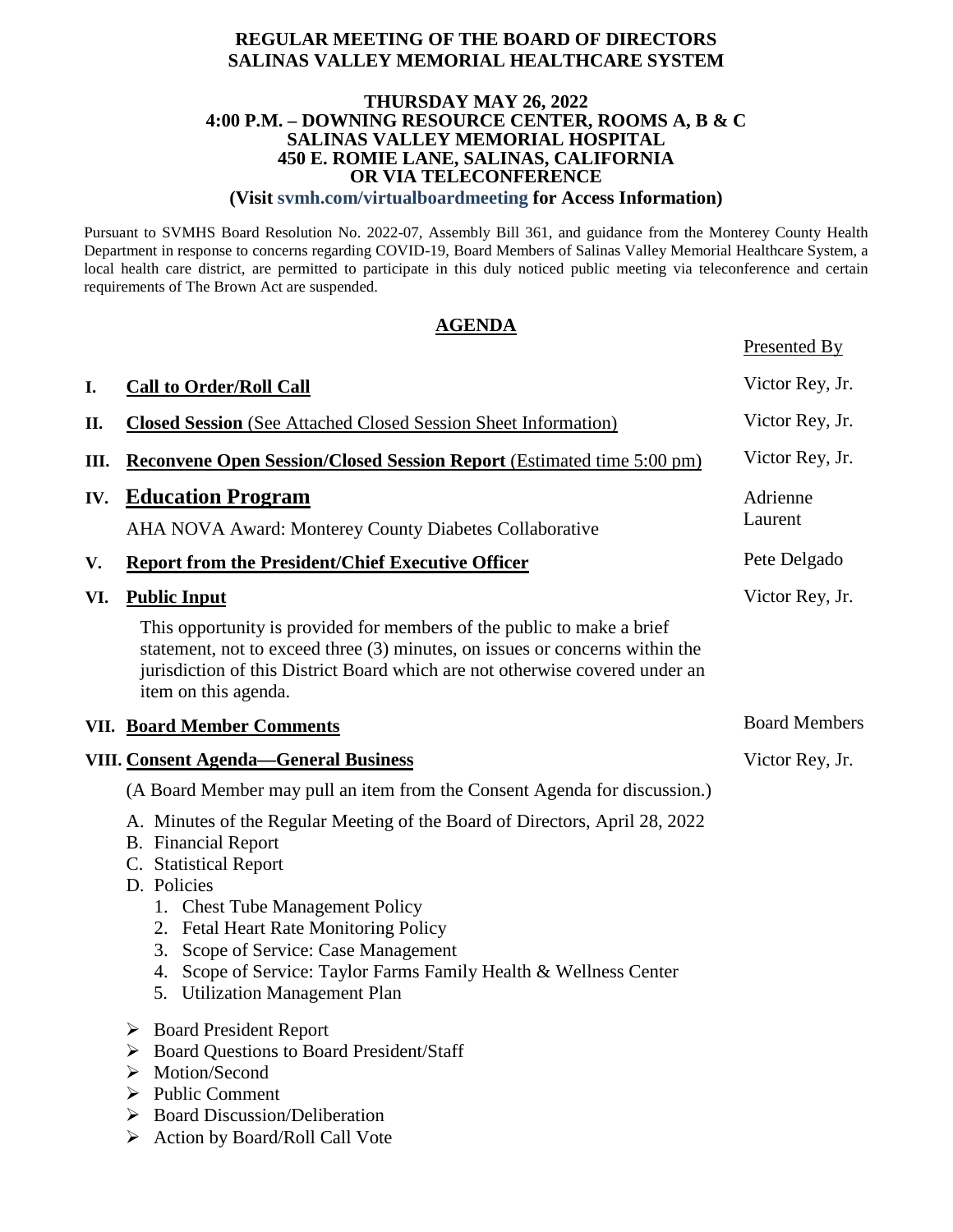#### **REGULAR MEETING OF THE BOARD OF DIRECTORS SALINAS VALLEY MEMORIAL HEALTHCARE SYSTEM**

#### **THURSDAY MAY 26, 2022 4:00 P.M. – DOWNING RESOURCE CENTER, ROOMS A, B & C SALINAS VALLEY MEMORIAL HOSPITAL 450 E. ROMIE LANE, SALINAS, CALIFORNIA OR VIA TELECONFERENCE**

**(Visit svmh.com/virtualboardmeeting for Access Information)**

Pursuant to SVMHS Board Resolution No. 2022-07, Assembly Bill 361, and guidance from the Monterey County Health Department in response to concerns regarding COVID-19, Board Members of Salinas Valley Memorial Healthcare System, a local health care district, are permitted to participate in this duly noticed public meeting via teleconference and certain requirements of The Brown Act are suspended.

#### **AGENDA**

Presented By

|     |                                                                                                                                                                                                                                                                                                                                                                              | $\frac{1}{2}$        |
|-----|------------------------------------------------------------------------------------------------------------------------------------------------------------------------------------------------------------------------------------------------------------------------------------------------------------------------------------------------------------------------------|----------------------|
| I.  | <b>Call to Order/Roll Call</b>                                                                                                                                                                                                                                                                                                                                               | Victor Rey, Jr.      |
| Π.  | <b>Closed Session</b> (See Attached Closed Session Sheet Information)                                                                                                                                                                                                                                                                                                        | Victor Rey, Jr.      |
| Ш.  | Reconvene Open Session/Closed Session Report (Estimated time 5:00 pm)                                                                                                                                                                                                                                                                                                        | Victor Rey, Jr.      |
| IV. | <b>Education Program</b>                                                                                                                                                                                                                                                                                                                                                     | Adrienne<br>Laurent  |
|     | AHA NOVA Award: Monterey County Diabetes Collaborative                                                                                                                                                                                                                                                                                                                       |                      |
| V.  | <b>Report from the President/Chief Executive Officer</b>                                                                                                                                                                                                                                                                                                                     | Pete Delgado         |
| VI. | <b>Public Input</b>                                                                                                                                                                                                                                                                                                                                                          | Victor Rey, Jr.      |
|     | This opportunity is provided for members of the public to make a brief<br>statement, not to exceed three (3) minutes, on issues or concerns within the<br>jurisdiction of this District Board which are not otherwise covered under an<br>item on this agenda.                                                                                                               |                      |
|     | <b>VII. Board Member Comments</b>                                                                                                                                                                                                                                                                                                                                            | <b>Board Members</b> |
|     | <b>VIII. Consent Agenda-General Business</b>                                                                                                                                                                                                                                                                                                                                 | Victor Rey, Jr.      |
|     | (A Board Member may pull an item from the Consent Agenda for discussion.)                                                                                                                                                                                                                                                                                                    |                      |
|     | A. Minutes of the Regular Meeting of the Board of Directors, April 28, 2022<br><b>B.</b> Financial Report<br>C. Statistical Report<br>D. Policies<br>1. Chest Tube Management Policy<br>2. Fetal Heart Rate Monitoring Policy<br>3. Scope of Service: Case Management<br>4. Scope of Service: Taylor Farms Family Health & Wellness Center<br>5. Utilization Management Plan |                      |
|     | $\triangleright$ Board President Report<br>> Board Questions to Board President/Staff<br>> Motion/Second<br><b>Public Comment</b><br>➤<br><b>Board Discussion/Deliberation</b><br>Action by Board/Roll Call Vote<br>➤                                                                                                                                                        |                      |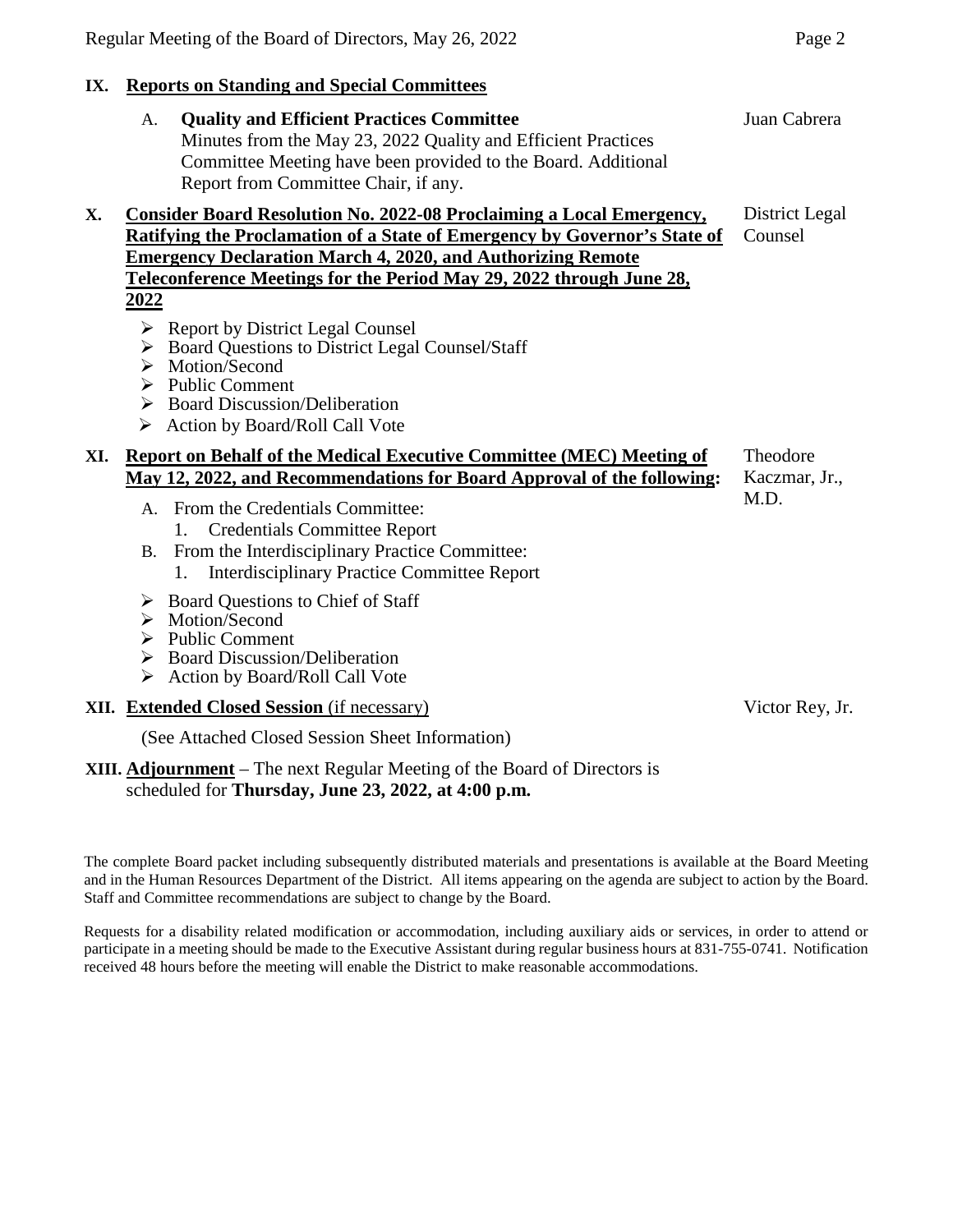## **IX. Reports on Standing and Special Committees**

- A. **Quality and Efficient Practices Committee** Minutes from the May 23, 2022 Quality and Efficient Practices Committee Meeting have been provided to the Board. Additional Report from Committee Chair, if any. Juan Cabrera **X. Consider Board Resolution No. 2022-08 Proclaiming a Local Emergency, Ratifying the Proclamation of a State of Emergency by Governor's State of Emergency Declaration March 4, 2020, and Authorizing Remote Teleconference Meetings for the Period May 29, 2022 through June 28, 2022** ▶ Report by District Legal Counsel ▶ Board Questions to District Legal Counsel/Staff District Legal Counsel
	- > Motion/Second
	- $\triangleright$  Public Comment
	- $\triangleright$  Board Discussion/Deliberation
	- ▶ Action by Board/Roll Call Vote

#### **XI. Report on Behalf of the Medical Executive Committee (MEC) Meeting of May 12, 2022, and Recommendations for Board Approval of the following:** Theodore Kaczmar, Jr., M.D.

- A. From the Credentials Committee:
	- 1. Credentials Committee Report
- B. From the Interdisciplinary Practice Committee:
	- 1. Interdisciplinary Practice Committee Report
- $\triangleright$  Board Questions to Chief of Staff
- > Motion/Second
- $\triangleright$  Public Comment
- $\triangleright$  Board Discussion/Deliberation
- Action by Board/Roll Call Vote

#### **XII. Extended Closed Session** (if necessary)

(See Attached Closed Session Sheet Information)

#### **XIII. Adjournment** – The next Regular Meeting of the Board of Directors is scheduled for **Thursday, June 23, 2022, at 4:00 p.m.**

The complete Board packet including subsequently distributed materials and presentations is available at the Board Meeting and in the Human Resources Department of the District. All items appearing on the agenda are subject to action by the Board. Staff and Committee recommendations are subject to change by the Board.

Requests for a disability related modification or accommodation, including auxiliary aids or services, in order to attend or participate in a meeting should be made to the Executive Assistant during regular business hours at 831-755-0741. Notification received 48 hours before the meeting will enable the District to make reasonable accommodations.

Victor Rey, Jr.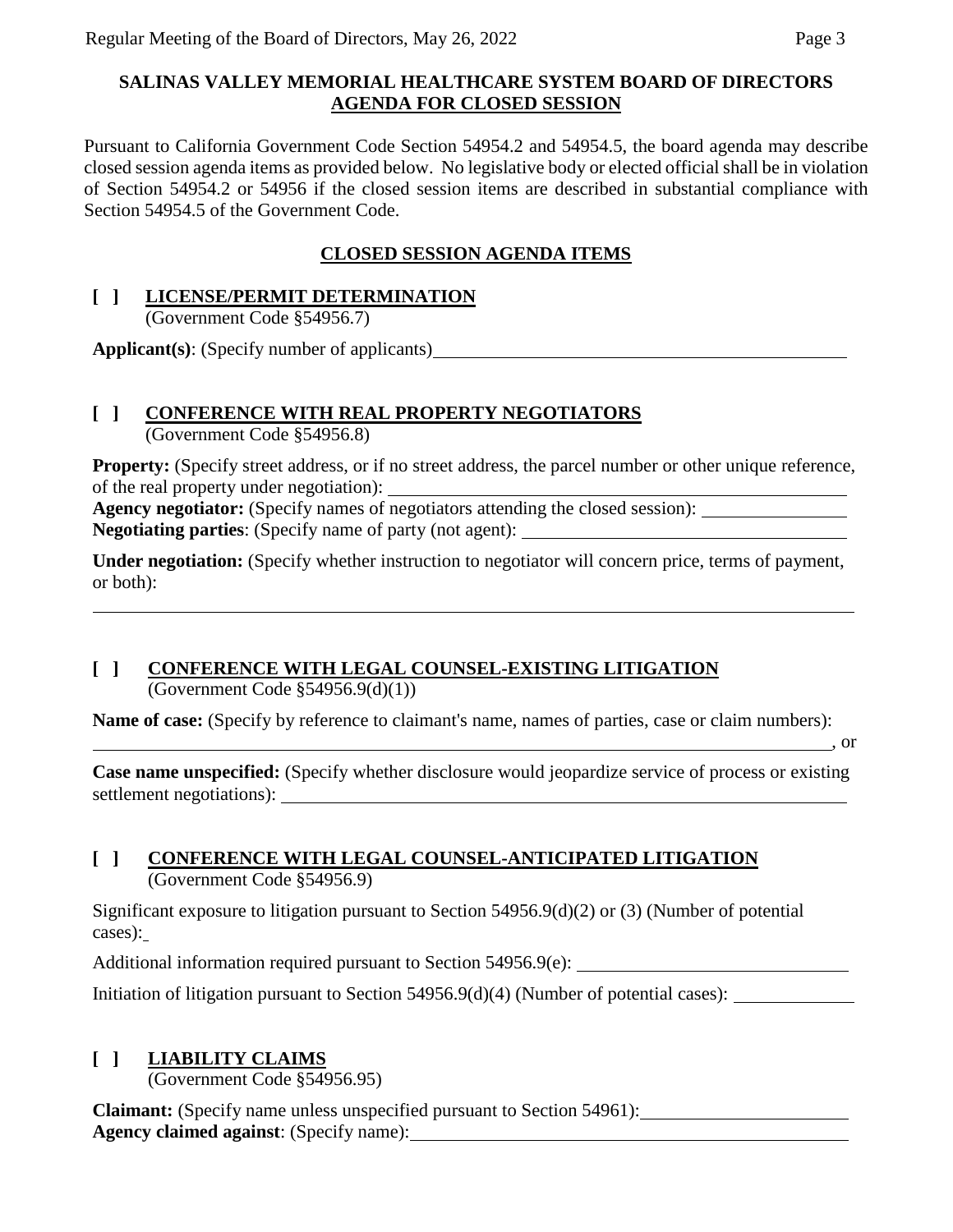## **SALINAS VALLEY MEMORIAL HEALTHCARE SYSTEM BOARD OF DIRECTORS AGENDA FOR CLOSED SESSION**

Pursuant to California Government Code Section 54954.2 and 54954.5, the board agenda may describe closed session agenda items as provided below. No legislative body or elected official shall be in violation of Section 54954.2 or 54956 if the closed session items are described in substantial compliance with Section 54954.5 of the Government Code.

# **CLOSED SESSION AGENDA ITEMS**

## **[ ] LICENSE/PERMIT DETERMINATION**

(Government Code §54956.7)

**Applicant(s)**: (Specify number of applicants)

# **[ ] CONFERENCE WITH REAL PROPERTY NEGOTIATORS**

(Government Code §54956.8)

**Property:** (Specify street address, or if no street address, the parcel number or other unique reference, of the real property under negotiation):

**Agency negotiator:** (Specify names of negotiators attending the closed session): **Negotiating parties**: (Specify name of party (not agent):

**Under negotiation:** (Specify whether instruction to negotiator will concern price, terms of payment, or both):

# **[ ] CONFERENCE WITH LEGAL COUNSEL-EXISTING LITIGATION**

(Government Code  $$54956.9(d)(1))$ )

**Name of case:** (Specify by reference to claimant's name, names of parties, case or claim numbers):

, or

**Case name unspecified:** (Specify whether disclosure would jeopardize service of process or existing settlement negotiations):

## **[ ] CONFERENCE WITH LEGAL COUNSEL-ANTICIPATED LITIGATION** (Government Code §54956.9)

Significant exposure to litigation pursuant to Section 54956.9(d)(2) or (3) (Number of potential cases):

Additional information required pursuant to Section 54956.9(e):

Initiation of litigation pursuant to Section 54956.9(d)(4) (Number of potential cases):

# **[ ] LIABILITY CLAIMS**

(Government Code §54956.95)

**Claimant:** (Specify name unless unspecified pursuant to Section 54961): **Agency claimed against**: (Specify name):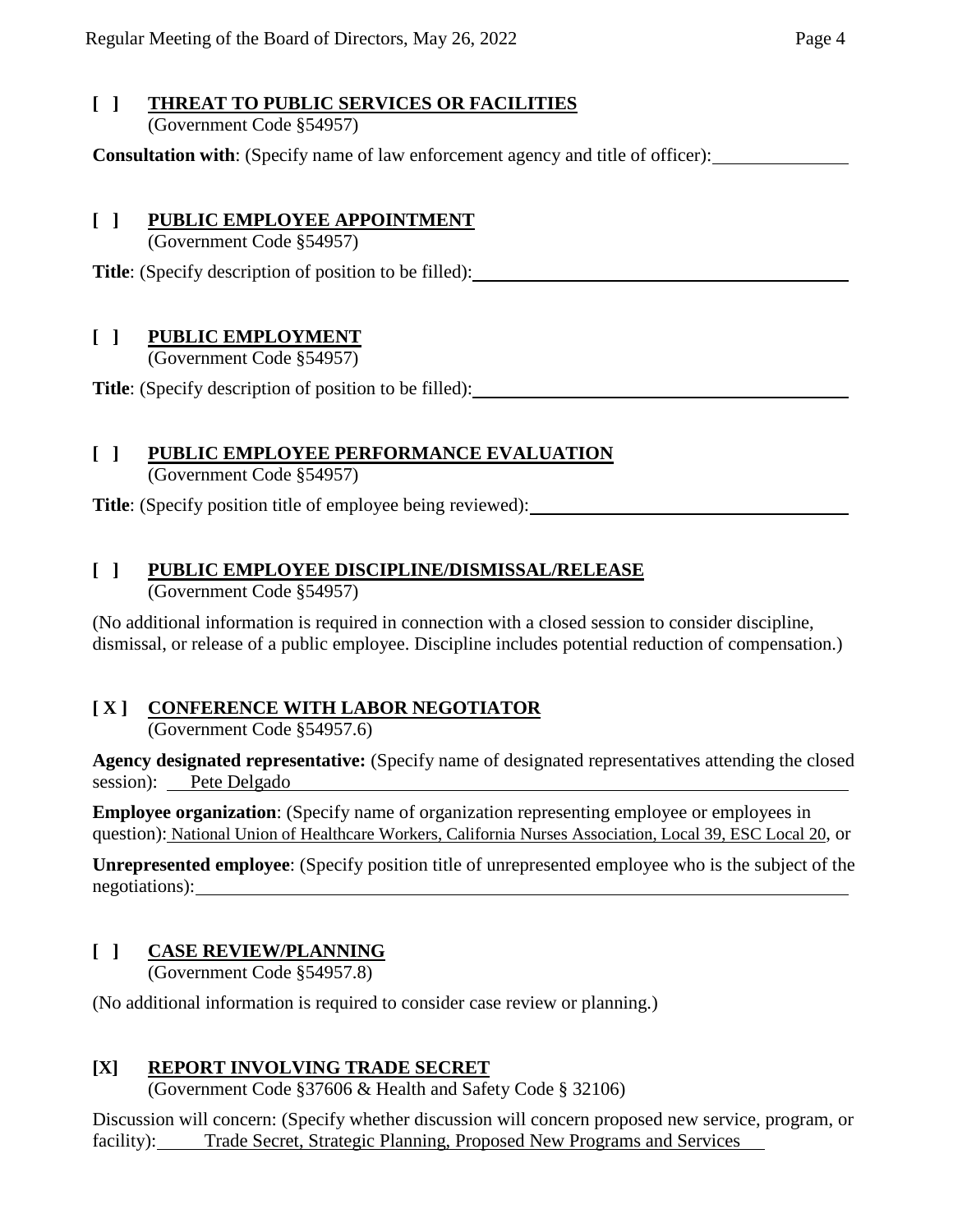### **[ ] THREAT TO PUBLIC SERVICES OR FACILITIES** (Government Code §54957)

**Consultation with**: (Specify name of law enforcement agency and title of officer):

# **[ ] PUBLIC EMPLOYEE APPOINTMENT**

(Government Code §54957)

**Title**: (Specify description of position to be filled):

# **[ ] PUBLIC EMPLOYMENT**

(Government Code §54957)

**Title**: (Specify description of position to be filled):

# **[ ] PUBLIC EMPLOYEE PERFORMANCE EVALUATION**

(Government Code §54957)

**Title**: (Specify position title of employee being reviewed):

# **[ ] PUBLIC EMPLOYEE DISCIPLINE/DISMISSAL/RELEASE**

(Government Code §54957)

(No additional information is required in connection with a closed session to consider discipline, dismissal, or release of a public employee. Discipline includes potential reduction of compensation.)

# **[ X ] CONFERENCE WITH LABOR NEGOTIATOR**

(Government Code §54957.6)

**Agency designated representative:** (Specify name of designated representatives attending the closed session): Pete Delgado

**Employee organization**: (Specify name of organization representing employee or employees in question): National Union of Healthcare Workers, California Nurses Association, Local 39, ESC Local 20, or

**Unrepresented employee**: (Specify position title of unrepresented employee who is the subject of the negotiations):

# **[ ] CASE REVIEW/PLANNING**

(Government Code §54957.8)

(No additional information is required to consider case review or planning.)

# **[X] REPORT INVOLVING TRADE SECRET**

(Government Code §37606 & Health and Safety Code § 32106)

Discussion will concern: (Specify whether discussion will concern proposed new service, program, or facility): Trade Secret, Strategic Planning, Proposed New Programs and Services